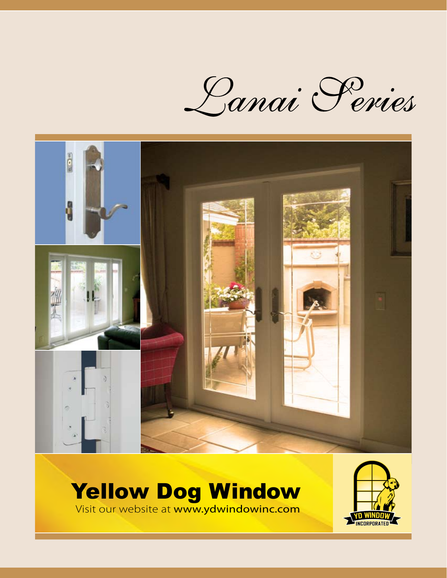Lanai Peries



# Yellow Dog Window

Visit our website at www.ydwindowinc.com

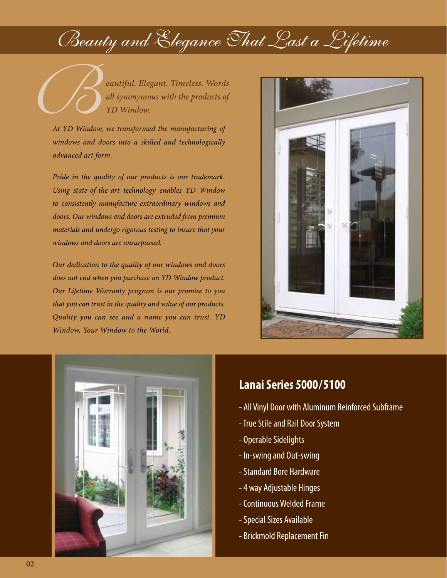# Beauty and Elegance That Last a Lifetime

**Example 2.1 For Security A. Elegant.** Timeless. Words<br>all synonymous with the products of<br>At YD Window we transformed the manufacturing of *all synonymous with the products of YD Window.*

*At YD Window, we transformed the manufacturing of windows and doors into a skilled and technologically advanced art form.*

*Pride in the quality of our products is our trademark. Using state-of-the-art technology enables YD Window to consistently manufacture extraordinary windows and doors. Our windows and doors are extruded from premium materials and undergo rigorous testing to insure that your windows and doors are unsurpassed.*

*Our dedication to the quality of our windows and doors does not end when you purchase an YD Window product. Our Lifetime Warranty program is our promise to you that you can trust in the quality and value of our products. Quality you can see and a name you can trust. YD Window, Your Window to the World.*





### **Lanai Series 5000 / 5100**

- All Vinyl Door with Aluminum Reinforced Subframe
- True Stile and Rail Door System
- Operable Sidelights
- In-swing and Out-swing
- Standard Bore Hardware
- 4 way Adjustable Hinges
- Continuous Welded Frame
- Special Sizes Available
- Brickmold Replacement Fin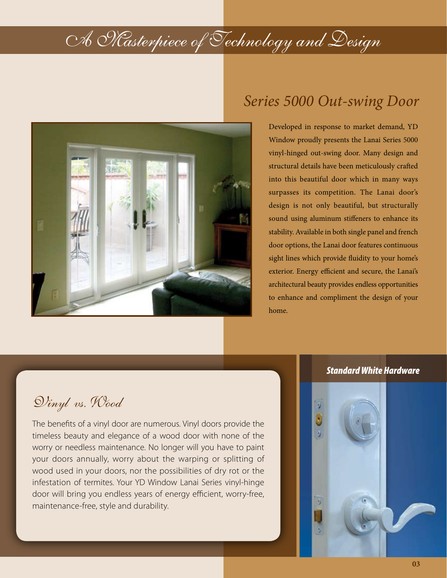

### *Series 5000 Out-swing Door*

Developed in response to market demand, YD Window proudly presents the Lanai Series 5000 vinyl-hinged out-swing door. Many design and structural details have been meticulously crafted into this beautiful door which in many ways surpasses its competition. The Lanai door's design is not only beautiful, but structurally sound using aluminum stiffeners to enhance its stability. Available in both single panel and french door options, the Lanai door features continuous sight lines which provide fluidity to your home's exterior. Energy efficient and secure, the Lanai's architectural beauty provides endless opportunities to enhance and compliment the design of your home.

### Vinyl vs. Wood

The benefits of a vinyl door are numerous. Vinyl doors provide the timeless beauty and elegance of a wood door with none of the worry or needless maintenance. No longer will you have to paint your doors annually, worry about the warping or splitting of wood used in your doors, nor the possibilities of dry rot or the infestation of termites. Your YD Window Lanai Series vinyl-hinge door will bring you endless years of energy efficient, worry-free, maintenance-free, style and durability.

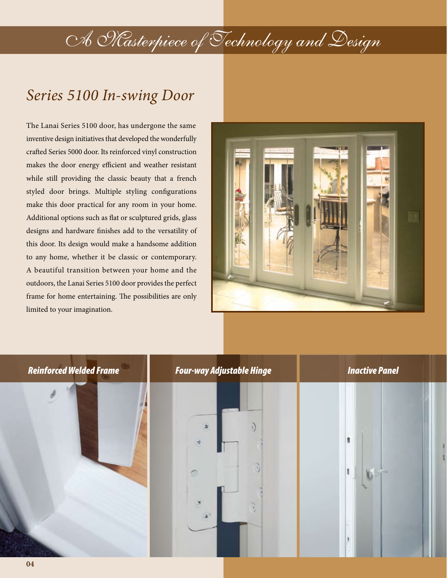### *Series 5100 In-swing Door*

The Lanai Series 5100 door, has undergone the same inventive design initiatives that developed the wonderfully crafted Series 5000 door. Its reinforced vinyl construction makes the door energy efficient and weather resistant while still providing the classic beauty that a french styled door brings. Multiple styling configurations make this door practical for any room in your home. Additional options such as flat or sculptured grids, glass designs and hardware finishes add to the versatility of this door. Its design would make a handsome addition to any home, whether it be classic or contemporary. A beautiful transition between your home and the outdoors, the Lanai Series 5100 door provides the perfect frame for home entertaining. The possibilities are only limited to your imagination.



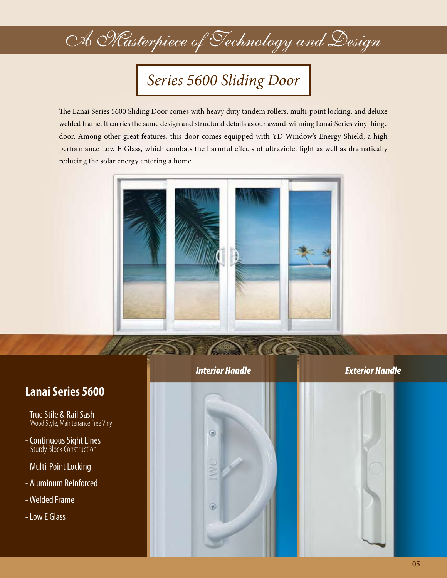### *Series 5600 Sliding Door*

The Lanai Series 5600 Sliding Door comes with heavy duty tandem rollers, multi-point locking, and deluxe welded frame. It carries the same design and structural details as our award-winning Lanai Series vinyl hinge door. Among other great features, this door comes equipped with YD Window's Energy Shield, a high performance Low E Glass, which combats the harmful effects of ultraviolet light as well as dramatically reducing the solar energy entering a home.



### **Lanai Series 5600**

- True Stile & Rail Sash Wood Style, Maintenance Free Vinyl
- Continuous Sight Lines Sturdy Block Construction
- Multi-Point Locking
- Aluminum Reinforced
- Welded Frame
- Low E Glass



 $\circledR$ 

 $^{\circ}$ 

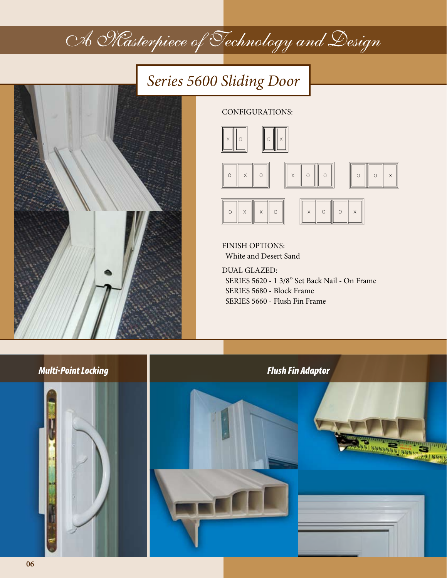### *Series 5600 Sliding Door*



CONFIGURATIONS:







FINISH OPTIONS: White and Desert Sand

DUAL GLAZED: SERIES 5620 - 1 3/8" Set Back Nail - On Frame SERIES 5680 - Block Frame SERIES 5660 - Flush Fin Frame

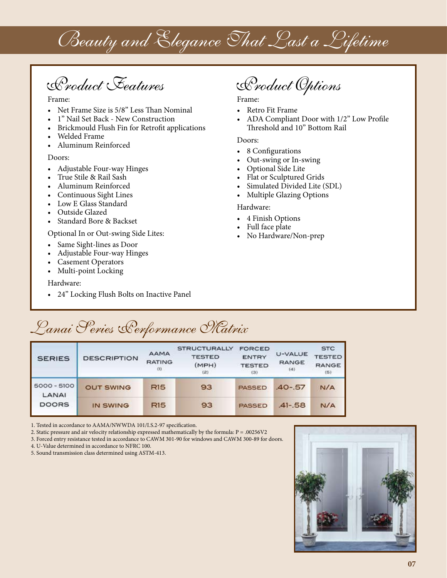# Beauty and Elegance That Last a Lifetime

Product Features Product Options

Frame:

- Net Frame Size is 5/8" Less Than Nominal
- 1" Nail Set Back New Construction
- Brickmould Flush Fin for Retrofit applications
- Welded Frame
- Aluminum Reinforced

#### Doors:

- Adjustable Four-way Hinges
- True Stile & Rail Sash
- Aluminum Reinforced
- Continuous Sight Lines
- Low E Glass Standard
- Outside Glazed
- Standard Bore & Backset

#### Optional In or Out-swing Side Lites:

- Same Sight-lines as Door
- Adjustable Four-way Hinges
- **Casement Operators**
- Multi-point Locking

Hardware:

• 24" Locking Flush Bolts on Inactive Panel

Frame:

- Retro Fit Frame
- ADA Compliant Door with 1/2" Low Profile Threshold and 10" Bottom Rail

#### Doors:

- 8 Configurations
- Out-swing or In-swing
- Optional Side Lite
- Flat or Sculptured Grids
- Simulated Divided Lite (SDL)
- Multiple Glazing Options

#### Hardware:

- 4 Finish Options
- Full face plate
- No Hardware/Non-prep

### Lanai Series Performance Matrix

| <b>SERIES</b>          | <b>DESCRIPTION</b> | AAMA<br><b>RATING</b><br>$(1)$ | <b>STRUCTURALLY</b><br><b>TESTED</b><br>(MPH)<br>(2) | <b>FORCED</b><br><b>ENTRY</b><br><b>TESTED</b><br>(3) | U-VALUE<br><b>RANGE</b><br>(4) | <b>STC</b><br><b>TESTED</b><br><b>RANGE</b><br>(5) |
|------------------------|--------------------|--------------------------------|------------------------------------------------------|-------------------------------------------------------|--------------------------------|----------------------------------------------------|
| $5000 - 5100$<br>LANAI | <b>OUT SWING</b>   | R15                            | 93                                                   | <b>PASSED</b>                                         | $.40 - .57$                    | N/A                                                |
| <b>DOORS</b>           | IN SWING           | <b>R15</b>                     | 93                                                   | <b>PASSED</b>                                         | $-41 - 58$                     | N/A                                                |

1. Tested in accordance to AAMA/NWWDA 101/I.S.2-97 specification.

2. Static pressure and air velocity relationship expressed mathematically by the formula:  $P = .00256V2$ 

3. Forced entry resistance tested in accordance to CAWM 301-90 for windows and CAWM 300-89 for doors.

4. U-Value determined in accordance to NFRC 100.

5. Sound transmission class determined using ASTM-413.